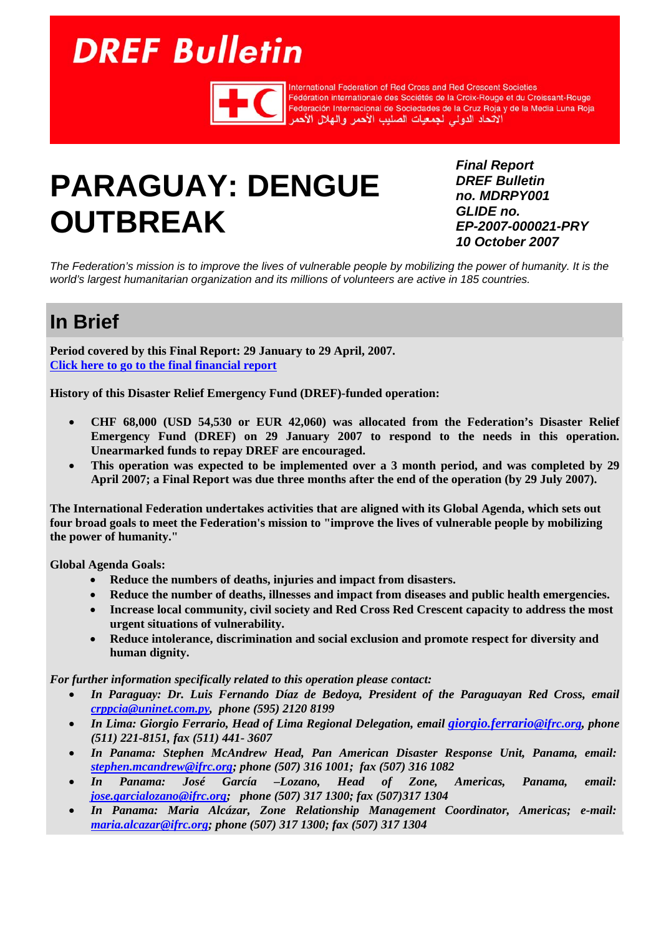# <span id="page-0-0"></span>**DREF Bulletin**



International Federation of Red Cross and Red Crescent Societies Fédération internationale des Sociétés de la Croix-Rouge et du Croissant-Rouge Federación Internacional de Sociedades de la Cruz Roja y de la Media Luna Roja الأتحاد الدولى لجمعيات الصليب الأحمر والهلال الأحمر

## **PARAGUAY: DENGUE OUTBREAK**

*Final Report DREF Bulletin no. MDRPY001 GLIDE no. EP-2007-000021-PRY 10 October 2007* 

*The Federation's mission is to improve the lives of vulnerable people by mobilizing the power of humanity. It is the world's largest humanitarian organization and its millions of volunteers are active in 185 countries.* 

## **In Brief**

**Period covered by this Final Report: 29 January to 29 April, 2007. [Click here to go to the final financial report](#page-10-0)**

**History of this Disaster Relief Emergency Fund (DREF)-funded operation:** 

- **CHF 68,000 (USD 54,530 or EUR 42,060) was allocated from the Federation's Disaster Relief Emergency Fund (DREF) on 29 January 2007 to respond to the needs in this operation. Unearmarked funds to repay DREF are encouraged.**
- **This operation was expected to be implemented over a 3 month period, and was completed by 29 April 2007; a Final Report was due three months after the end of the operation (by 29 July 2007).**

**The International Federation undertakes activities that are aligned with its Global Agenda, which sets out four broad goals to meet the Federation's mission to "improve the lives of vulnerable people by mobilizing the power of humanity."** 

**Global Agenda Goals:** 

- **Reduce the numbers of deaths, injuries and impact from disasters.**
- **Reduce the number of deaths, illnesses and impact from diseases and public health emergencies.**
- **Increase local community, civil society and Red Cross Red Crescent capacity to address the most urgent situations of vulnerability.**
- **Reduce intolerance, discrimination and social exclusion and promote respect for diversity and human dignity.**

*For further information specifically related to this operation please contact:* 

- *In Paraguay: Dr. Luis Fernando Díaz de Bedoya, President of the Paraguayan Red Cross, email crppcia@uninet.com.py, phone (595) 2120 8199*
- *In Lima: Giorgio Ferrario, Head of Lima Regional Delegation, email giorgio.ferrario@ifrc.org, phone (511) 221-8151, fax (511) 441- 3607*
- *In Panama: Stephen McAndrew Head, Pan American Disaster Response Unit, Panama, email: stephen.mcandrew@ifrc.org; phone (507) 316 1001; fax (507) 316 1082*
- *In Panama: José García –Lozano, Head of Zone, Americas, Panama, email: jose.garcialozano@ifrc.org; phone (507) 317 1300; fax (507)317 1304*
- *In Panama: Maria Alcázar, Zone Relationship Management Coordinator, Americas; e-mail: maria.alcazar@ifrc.org; phone (507) 317 1300; fax (507) 317 1304*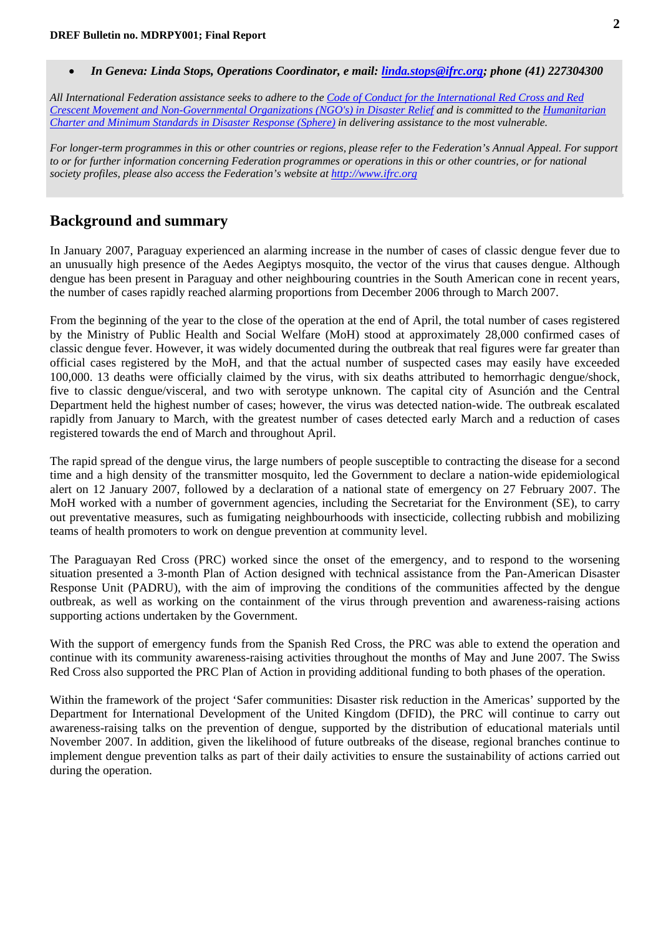• *In Geneva: Linda Stops, Operations Coordinator, e mail: linda.stops@ifrc.org; phone (41) 227304300* 

*All International Federation assistance seeks to adhere to the Code of Conduct for the International Red Cross and Red Crescent Movement and Non-Governmental Organizations (NGO's) in Disaster Relief and is committed to the Humanitarian Charter and Minimum Standards in Disaster Response (Sphere) in delivering assistance to the most vulnerable.*

*For longer-term programmes in this or other countries or regions, please refer to the Federation's Annual Appeal. For support to or for further information concerning Federation programmes or operations in this or other countries, or for national society profiles, please also access the Federation's website at [http://www.ifrc.org](www.ifrc.org)*

## **Background and summary**

In January 2007, Paraguay experienced an alarming increase in the number of cases of classic dengue fever due to an unusually high presence of the Aedes Aegiptys mosquito, the vector of the virus that causes dengue. Although dengue has been present in Paraguay and other neighbouring countries in the South American cone in recent years, the number of cases rapidly reached alarming proportions from December 2006 through to March 2007.

From the beginning of the year to the close of the operation at the end of April, the total number of cases registered by the Ministry of Public Health and Social Welfare (MoH) stood at approximately 28,000 confirmed cases of classic dengue fever. However, it was widely documented during the outbreak that real figures were far greater than official cases registered by the MoH, and that the actual number of suspected cases may easily have exceeded 100,000. 13 deaths were officially claimed by the virus, with six deaths attributed to hemorrhagic dengue/shock, five to classic dengue/visceral, and two with serotype unknown. The capital city of Asunción and the Central Department held the highest number of cases; however, the virus was detected nation-wide. The outbreak escalated rapidly from January to March, with the greatest number of cases detected early March and a reduction of cases registered towards the end of March and throughout April.

The rapid spread of the dengue virus, the large numbers of people susceptible to contracting the disease for a second time and a high density of the transmitter mosquito, led the Government to declare a nation-wide epidemiological alert on 12 January 2007, followed by a declaration of a national state of emergency on 27 February 2007. The MoH worked with a number of government agencies, including the Secretariat for the Environment (SE), to carry out preventative measures, such as fumigating neighbourhoods with insecticide, collecting rubbish and mobilizing teams of health promoters to work on dengue prevention at community level.

The Paraguayan Red Cross (PRC) worked since the onset of the emergency, and to respond to the worsening situation presented a 3-month Plan of Action designed with technical assistance from the Pan-American Disaster Response Unit (PADRU), with the aim of improving the conditions of the communities affected by the dengue outbreak, as well as working on the containment of the virus through prevention and awareness-raising actions supporting actions undertaken by the Government.

With the support of emergency funds from the Spanish Red Cross, the PRC was able to extend the operation and continue with its community awareness-raising activities throughout the months of May and June 2007. The Swiss Red Cross also supported the PRC Plan of Action in providing additional funding to both phases of the operation.

Within the framework of the project 'Safer communities: Disaster risk reduction in the Americas' supported by the Department for International Development of the United Kingdom (DFID), the PRC will continue to carry out awareness-raising talks on the prevention of dengue, supported by the distribution of educational materials until November 2007. In addition, given the likelihood of future outbreaks of the disease, regional branches continue to implement dengue prevention talks as part of their daily activities to ensure the sustainability of actions carried out during the operation.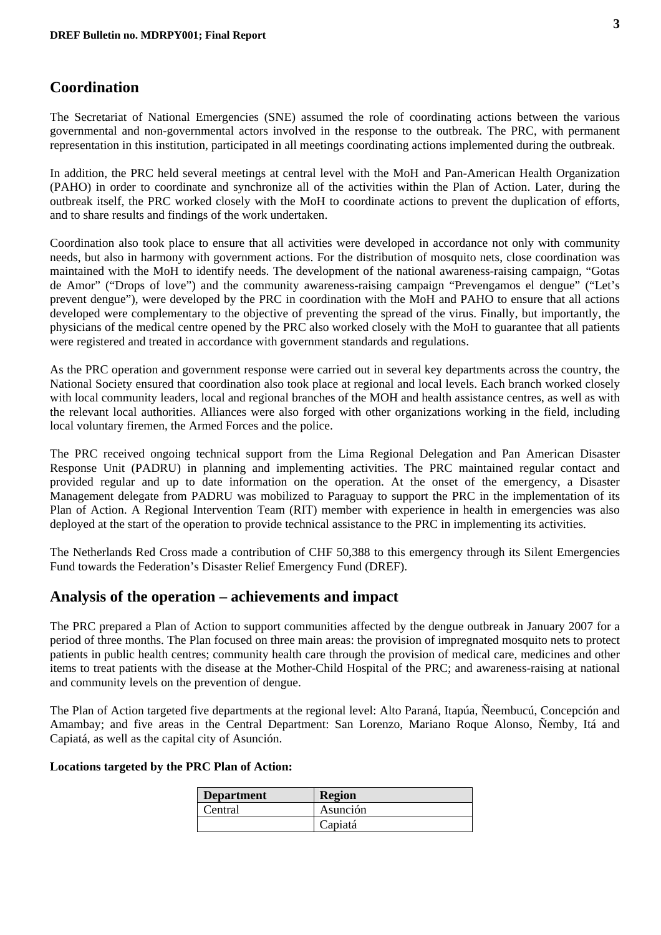## **Coordination**

The Secretariat of National Emergencies (SNE) assumed the role of coordinating actions between the various governmental and non-governmental actors involved in the response to the outbreak. The PRC, with permanent representation in this institution, participated in all meetings coordinating actions implemented during the outbreak.

In addition, the PRC held several meetings at central level with the MoH and Pan-American Health Organization (PAHO) in order to coordinate and synchronize all of the activities within the Plan of Action. Later, during the outbreak itself, the PRC worked closely with the MoH to coordinate actions to prevent the duplication of efforts, and to share results and findings of the work undertaken.

Coordination also took place to ensure that all activities were developed in accordance not only with community needs, but also in harmony with government actions. For the distribution of mosquito nets, close coordination was maintained with the MoH to identify needs. The development of the national awareness-raising campaign, "Gotas de Amor" ("Drops of love") and the community awareness-raising campaign "Prevengamos el dengue" ("Let's prevent dengue"), were developed by the PRC in coordination with the MoH and PAHO to ensure that all actions developed were complementary to the objective of preventing the spread of the virus. Finally, but importantly, the physicians of the medical centre opened by the PRC also worked closely with the MoH to guarantee that all patients were registered and treated in accordance with government standards and regulations.

As the PRC operation and government response were carried out in several key departments across the country, the National Society ensured that coordination also took place at regional and local levels. Each branch worked closely with local community leaders, local and regional branches of the MOH and health assistance centres, as well as with the relevant local authorities. Alliances were also forged with other organizations working in the field, including local voluntary firemen, the Armed Forces and the police.

The PRC received ongoing technical support from the Lima Regional Delegation and Pan American Disaster Response Unit (PADRU) in planning and implementing activities. The PRC maintained regular contact and provided regular and up to date information on the operation. At the onset of the emergency, a Disaster Management delegate from PADRU was mobilized to Paraguay to support the PRC in the implementation of its Plan of Action. A Regional Intervention Team (RIT) member with experience in health in emergencies was also deployed at the start of the operation to provide technical assistance to the PRC in implementing its activities.

The Netherlands Red Cross made a contribution of CHF 50,388 to this emergency through its Silent Emergencies Fund towards the Federation's Disaster Relief Emergency Fund (DREF).

## **Analysis of the operation – achievements and impact**

The PRC prepared a Plan of Action to support communities affected by the dengue outbreak in January 2007 for a period of three months. The Plan focused on three main areas: the provision of impregnated mosquito nets to protect patients in public health centres; community health care through the provision of medical care, medicines and other items to treat patients with the disease at the Mother-Child Hospital of the PRC; and awareness-raising at national and community levels on the prevention of dengue.

The Plan of Action targeted five departments at the regional level: Alto Paraná, Itapúa, Ñeembucú, Concepción and Amambay; and five areas in the Central Department: San Lorenzo, Mariano Roque Alonso, Ñemby, Itá and Capiatá, as well as the capital city of Asunción.

#### **Locations targeted by the PRC Plan of Action:**

| <b>Department</b> | <b>Region</b> |
|-------------------|---------------|
| Central           | Asunción      |
|                   | Capiatá       |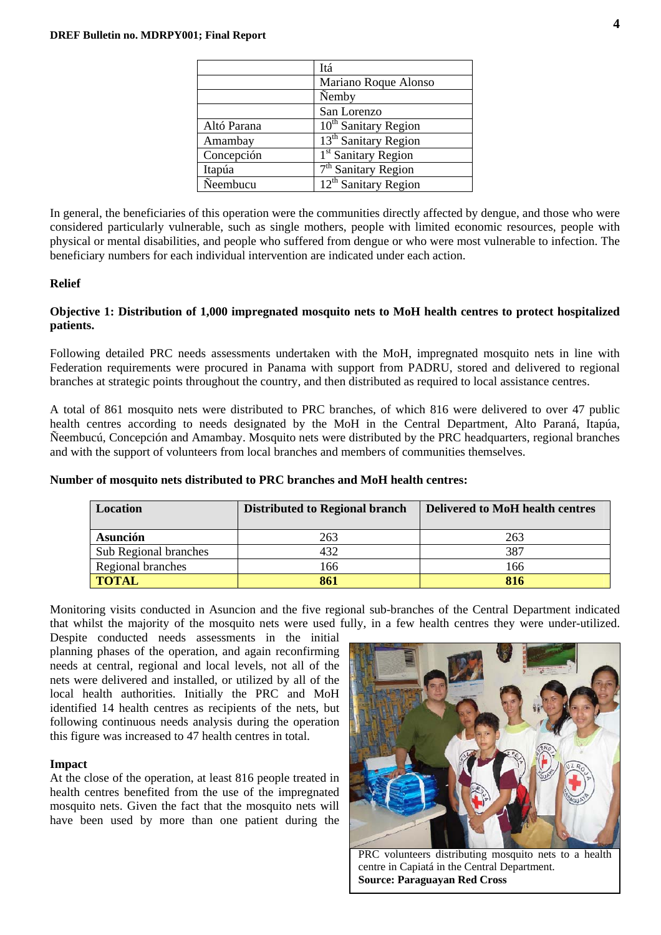|             | Itá                              |
|-------------|----------------------------------|
|             | Mariano Roque Alonso             |
|             | <b>Nemby</b>                     |
|             | San Lorenzo                      |
| Altó Parana | 10 <sup>th</sup> Sanitary Region |
| Amambay     | 13 <sup>th</sup> Sanitary Region |
| Concepción  | 1 <sup>st</sup> Sanitary Region  |
| Itapúa      | $7th$ Sanitary Region            |
| Neembucu    | 12 <sup>th</sup> Sanitary Region |

In general, the beneficiaries of this operation were the communities directly affected by dengue, and those who were considered particularly vulnerable, such as single mothers, people with limited economic resources, people with physical or mental disabilities, and people who suffered from dengue or who were most vulnerable to infection. The beneficiary numbers for each individual intervention are indicated under each action.

#### **Relief**

#### **Objective 1: Distribution of 1,000 impregnated mosquito nets to MoH health centres to protect hospitalized patients.**

Following detailed PRC needs assessments undertaken with the MoH, impregnated mosquito nets in line with Federation requirements were procured in Panama with support from PADRU, stored and delivered to regional branches at strategic points throughout the country, and then distributed as required to local assistance centres.

A total of 861 mosquito nets were distributed to PRC branches, of which 816 were delivered to over 47 public health centres according to needs designated by the MoH in the Central Department, Alto Paraná, Itapúa, Ñeembucú, Concepción and Amambay. Mosquito nets were distributed by the PRC headquarters, regional branches and with the support of volunteers from local branches and members of communities themselves.

| Location              | <b>Distributed to Regional branch</b> | <b>Delivered to MoH health centres</b> |  |  |
|-----------------------|---------------------------------------|----------------------------------------|--|--|
| Asunción              | 263                                   | 263                                    |  |  |
| Sub Regional branches | 432                                   | 387                                    |  |  |
| Regional branches     | 166                                   | 166                                    |  |  |
| <b>TOTAL</b>          | 861                                   | 816                                    |  |  |

#### **Number of mosquito nets distributed to PRC branches and MoH health centres:**

Monitoring visits conducted in Asuncion and the five regional sub-branches of the Central Department indicated that whilst the majority of the mosquito nets were used fully, in a few health centres they were under-utilized.

Despite conducted needs assessments in the initial planning phases of the operation, and again reconfirming needs at central, regional and local levels, not all of the nets were delivered and installed, or utilized by all of the local health authorities. Initially the PRC and MoH identified 14 health centres as recipients of the nets, but following continuous needs analysis during the operation this figure was increased to 47 health centres in total.

#### **Impact**

At the close of the operation, at least 816 people treated in health centres benefited from the use of the impregnated mosquito nets. Given the fact that the mosquito nets will have been used by more than one patient during the



PRC volunteers distributing mosquito nets to a health centre in Capiatá in the Central Department. **Source: Paraguayan Red Cross**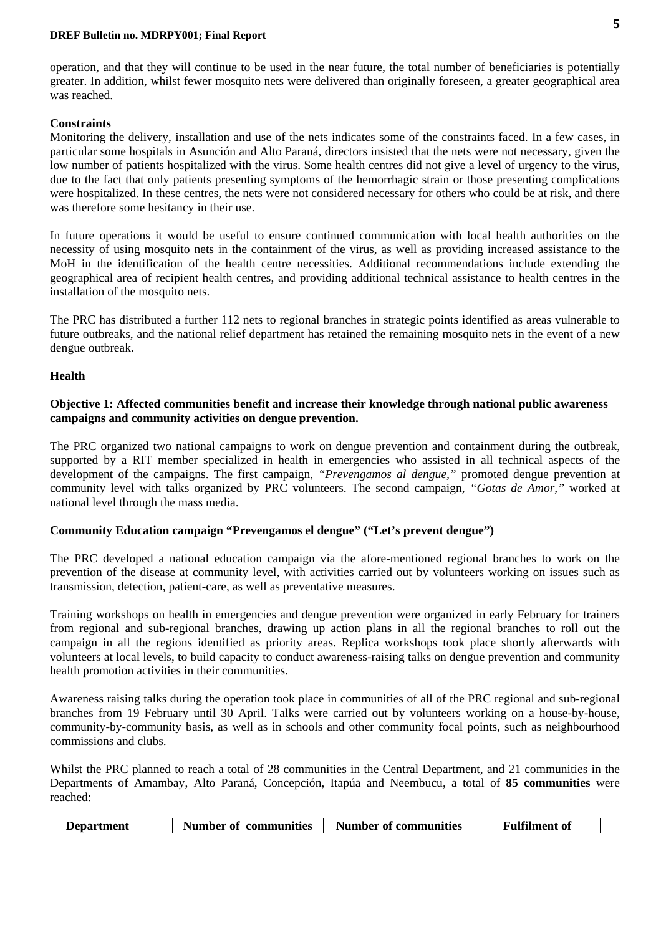#### **DREF Bulletin no. MDRPY001; Final Report**

operation, and that they will continue to be used in the near future, the total number of beneficiaries is potentially greater. In addition, whilst fewer mosquito nets were delivered than originally foreseen, a greater geographical area was reached.

#### **Constraints**

Monitoring the delivery, installation and use of the nets indicates some of the constraints faced. In a few cases, in particular some hospitals in Asunción and Alto Paraná, directors insisted that the nets were not necessary, given the low number of patients hospitalized with the virus. Some health centres did not give a level of urgency to the virus, due to the fact that only patients presenting symptoms of the hemorrhagic strain or those presenting complications were hospitalized. In these centres, the nets were not considered necessary for others who could be at risk, and there was therefore some hesitancy in their use.

In future operations it would be useful to ensure continued communication with local health authorities on the necessity of using mosquito nets in the containment of the virus, as well as providing increased assistance to the MoH in the identification of the health centre necessities. Additional recommendations include extending the geographical area of recipient health centres, and providing additional technical assistance to health centres in the installation of the mosquito nets.

The PRC has distributed a further 112 nets to regional branches in strategic points identified as areas vulnerable to future outbreaks, and the national relief department has retained the remaining mosquito nets in the event of a new dengue outbreak.

#### **Health**

#### **Objective 1: Affected communities benefit and increase their knowledge through national public awareness campaigns and community activities on dengue prevention.**

The PRC organized two national campaigns to work on dengue prevention and containment during the outbreak, supported by a RIT member specialized in health in emergencies who assisted in all technical aspects of the development of the campaigns. The first campaign, *"Prevengamos al dengue*," promoted dengue prevention at community level with talks organized by PRC volunteers. The second campaign, *"Gotas de Amor,"* worked at national level through the mass media.

#### **Community Education campaign "Prevengamos el dengue" ("Let's prevent dengue")**

The PRC developed a national education campaign via the afore-mentioned regional branches to work on the prevention of the disease at community level, with activities carried out by volunteers working on issues such as transmission, detection, patient-care, as well as preventative measures.

Training workshops on health in emergencies and dengue prevention were organized in early February for trainers from regional and sub-regional branches, drawing up action plans in all the regional branches to roll out the campaign in all the regions identified as priority areas. Replica workshops took place shortly afterwards with volunteers at local levels, to build capacity to conduct awareness-raising talks on dengue prevention and community health promotion activities in their communities.

Awareness raising talks during the operation took place in communities of all of the PRC regional and sub-regional branches from 19 February until 30 April. Talks were carried out by volunteers working on a house-by-house, community-by-community basis, as well as in schools and other community focal points, such as neighbourhood commissions and clubs.

Whilst the PRC planned to reach a total of 28 communities in the Central Department, and 21 communities in the Departments of Amambay, Alto Paraná, Concepción, Itapúa and Neembucu, a total of **85 communities** were reached:

|  | Department | Number of communities | Number of communities | <b>Fulfilment of</b> |
|--|------------|-----------------------|-----------------------|----------------------|
|--|------------|-----------------------|-----------------------|----------------------|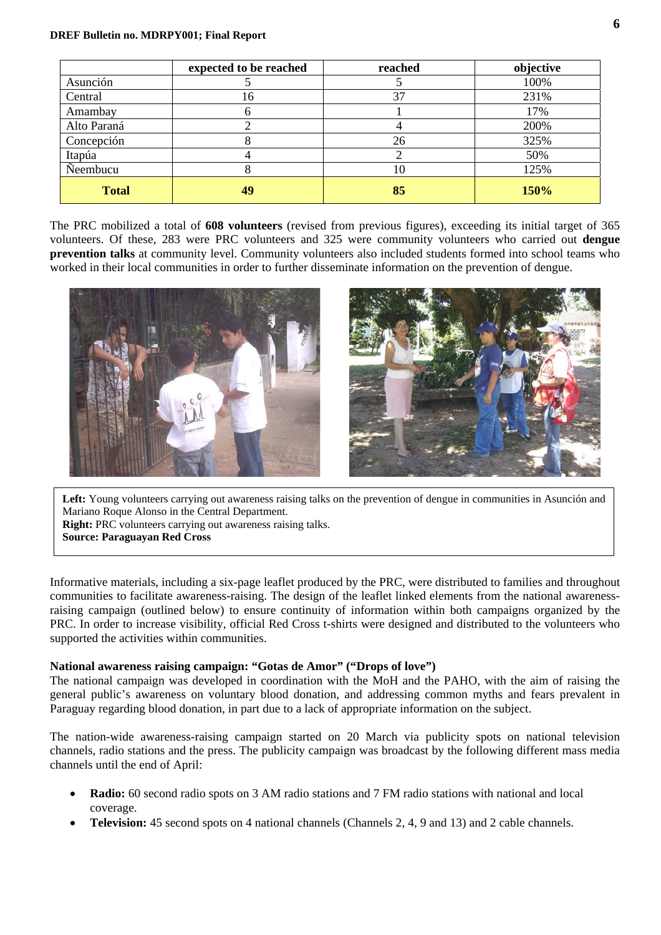|              | expected to be reached | reached | objective |
|--------------|------------------------|---------|-----------|
| Asunción     |                        |         | 100%      |
| Central      | 16                     | 37      | 231%      |
| Amambay      | o                      |         | 17%       |
| Alto Paraná  |                        |         | 200%      |
| Concepción   |                        | 26      | 325%      |
| Itapúa       |                        |         | 50%       |
| Neembucu     | 8                      | 10      | 125%      |
| <b>Total</b> | 49                     | 85      | 150%      |

The PRC mobilized a total of **608 volunteers** (revised from previous figures), exceeding its initial target of 365 volunteers. Of these, 283 were PRC volunteers and 325 were community volunteers who carried out **dengue prevention talks** at community level. Community volunteers also included students formed into school teams who worked in their local communities in order to further disseminate information on the prevention of dengue.



Left: Young volunteers carrying out awareness raising talks on the prevention of dengue in communities in Asunción and Mariano Roque Alonso in the Central Department.

**Right:** PRC volunteers carrying out awareness raising talks.

#### **Source: Paraguayan Red Cross**

Informative materials, including a six-page leaflet produced by the PRC, were distributed to families and throughout communities to facilitate awareness-raising. The design of the leaflet linked elements from the national awarenessraising campaign (outlined below) to ensure continuity of information within both campaigns organized by the PRC. In order to increase visibility, official Red Cross t-shirts were designed and distributed to the volunteers who supported the activities within communities.

#### **National awareness raising campaign: "Gotas de Amor" ("Drops of love")**

The national campaign was developed in coordination with the MoH and the PAHO, with the aim of raising the general public's awareness on voluntary blood donation, and addressing common myths and fears prevalent in Paraguay regarding blood donation, in part due to a lack of appropriate information on the subject.

The nation-wide awareness-raising campaign started on 20 March via publicity spots on national television channels, radio stations and the press. The publicity campaign was broadcast by the following different mass media channels until the end of April:

- **Radio:** 60 second radio spots on 3 AM radio stations and 7 FM radio stations with national and local coverage.
- **Television:** 45 second spots on 4 national channels (Channels 2, 4, 9 and 13) and 2 cable channels.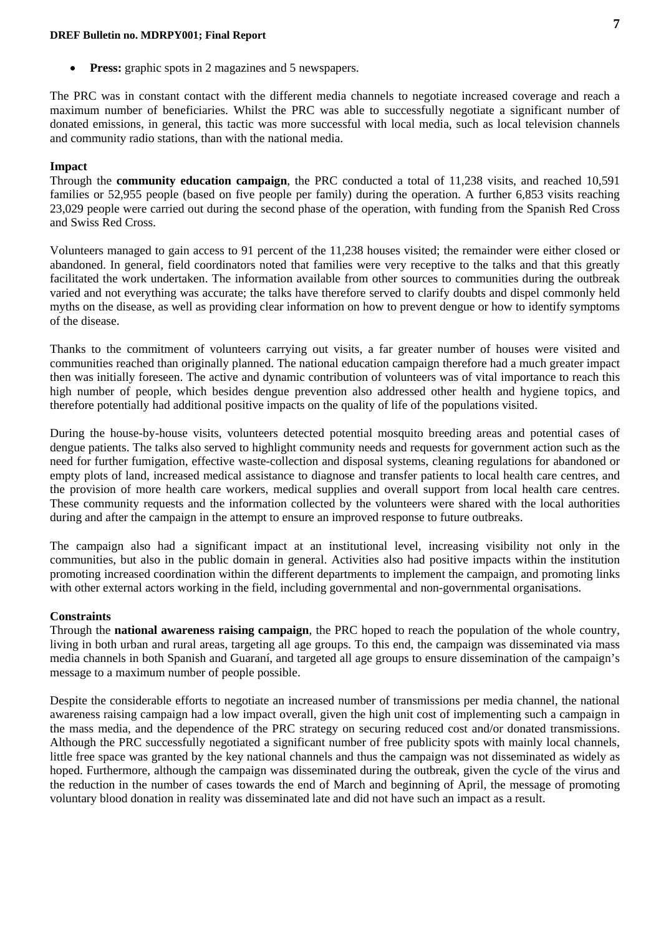#### **DREF Bulletin no. MDRPY001; Final Report**

• **Press:** graphic spots in 2 magazines and 5 newspapers.

The PRC was in constant contact with the different media channels to negotiate increased coverage and reach a maximum number of beneficiaries. Whilst the PRC was able to successfully negotiate a significant number of donated emissions, in general, this tactic was more successful with local media, such as local television channels and community radio stations, than with the national media.

#### **Impact**

Through the **community education campaign**, the PRC conducted a total of 11,238 visits, and reached 10,591 families or 52,955 people (based on five people per family) during the operation. A further 6,853 visits reaching 23,029 people were carried out during the second phase of the operation, with funding from the Spanish Red Cross and Swiss Red Cross.

Volunteers managed to gain access to 91 percent of the 11,238 houses visited; the remainder were either closed or abandoned. In general, field coordinators noted that families were very receptive to the talks and that this greatly facilitated the work undertaken. The information available from other sources to communities during the outbreak varied and not everything was accurate; the talks have therefore served to clarify doubts and dispel commonly held myths on the disease, as well as providing clear information on how to prevent dengue or how to identify symptoms of the disease.

Thanks to the commitment of volunteers carrying out visits, a far greater number of houses were visited and communities reached than originally planned. The national education campaign therefore had a much greater impact then was initially foreseen. The active and dynamic contribution of volunteers was of vital importance to reach this high number of people, which besides dengue prevention also addressed other health and hygiene topics, and therefore potentially had additional positive impacts on the quality of life of the populations visited.

During the house-by-house visits, volunteers detected potential mosquito breeding areas and potential cases of dengue patients. The talks also served to highlight community needs and requests for government action such as the need for further fumigation, effective waste-collection and disposal systems, cleaning regulations for abandoned or empty plots of land, increased medical assistance to diagnose and transfer patients to local health care centres, and the provision of more health care workers, medical supplies and overall support from local health care centres. These community requests and the information collected by the volunteers were shared with the local authorities during and after the campaign in the attempt to ensure an improved response to future outbreaks.

The campaign also had a significant impact at an institutional level, increasing visibility not only in the communities, but also in the public domain in general. Activities also had positive impacts within the institution promoting increased coordination within the different departments to implement the campaign, and promoting links with other external actors working in the field, including governmental and non-governmental organisations.

#### **Constraints**

Through the **national awareness raising campaign**, the PRC hoped to reach the population of the whole country, living in both urban and rural areas, targeting all age groups. To this end, the campaign was disseminated via mass media channels in both Spanish and Guaraní, and targeted all age groups to ensure dissemination of the campaign's message to a maximum number of people possible.

Despite the considerable efforts to negotiate an increased number of transmissions per media channel, the national awareness raising campaign had a low impact overall, given the high unit cost of implementing such a campaign in the mass media, and the dependence of the PRC strategy on securing reduced cost and/or donated transmissions. Although the PRC successfully negotiated a significant number of free publicity spots with mainly local channels, little free space was granted by the key national channels and thus the campaign was not disseminated as widely as hoped. Furthermore, although the campaign was disseminated during the outbreak, given the cycle of the virus and the reduction in the number of cases towards the end of March and beginning of April, the message of promoting voluntary blood donation in reality was disseminated late and did not have such an impact as a result.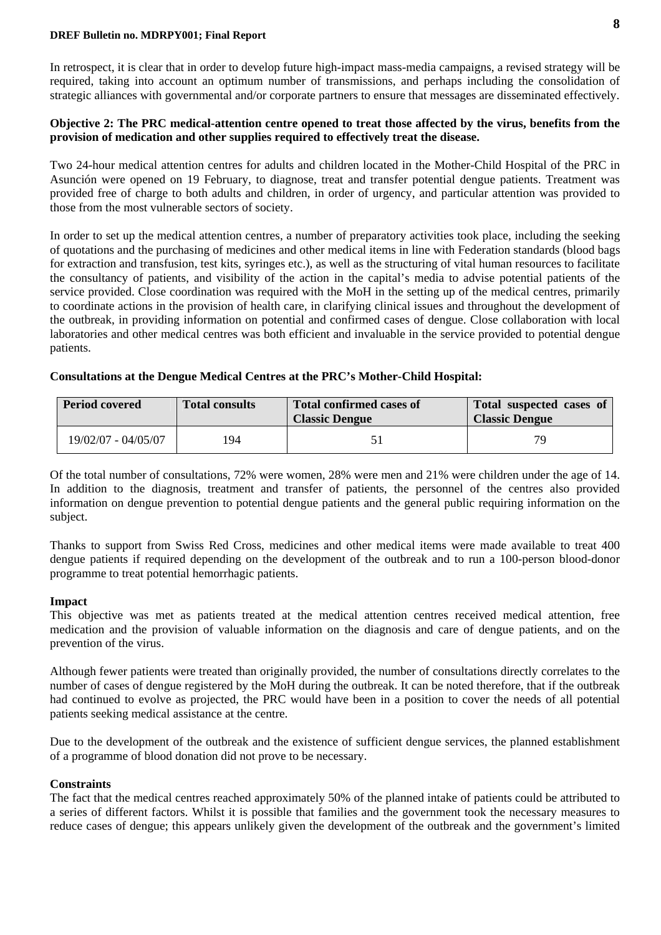#### **DREF Bulletin no. MDRPY001; Final Report**

In retrospect, it is clear that in order to develop future high-impact mass-media campaigns, a revised strategy will be required, taking into account an optimum number of transmissions, and perhaps including the consolidation of strategic alliances with governmental and/or corporate partners to ensure that messages are disseminated effectively.

#### **Objective 2: The PRC medical-attention centre opened to treat those affected by the virus, benefits from the provision of medication and other supplies required to effectively treat the disease.**

Two 24-hour medical attention centres for adults and children located in the Mother-Child Hospital of the PRC in Asunción were opened on 19 February, to diagnose, treat and transfer potential dengue patients. Treatment was provided free of charge to both adults and children, in order of urgency, and particular attention was provided to those from the most vulnerable sectors of society.

In order to set up the medical attention centres, a number of preparatory activities took place, including the seeking of quotations and the purchasing of medicines and other medical items in line with Federation standards (blood bags for extraction and transfusion, test kits, syringes etc.), as well as the structuring of vital human resources to facilitate the consultancy of patients, and visibility of the action in the capital's media to advise potential patients of the service provided. Close coordination was required with the MoH in the setting up of the medical centres, primarily to coordinate actions in the provision of health care, in clarifying clinical issues and throughout the development of the outbreak, in providing information on potential and confirmed cases of dengue. Close collaboration with local laboratories and other medical centres was both efficient and invaluable in the service provided to potential dengue patients.

#### **Consultations at the Dengue Medical Centres at the PRC's Mother-Child Hospital:**

| <b>Period covered</b> | <b>Total consults</b> | <b>Total confirmed cases of</b><br><b>Classic Dengue</b> | Total suspected cases of<br><b>Classic Dengue</b> |
|-----------------------|-----------------------|----------------------------------------------------------|---------------------------------------------------|
| 19/02/07 - 04/05/07   | 94                    |                                                          | 70                                                |

Of the total number of consultations, 72% were women, 28% were men and 21% were children under the age of 14. In addition to the diagnosis, treatment and transfer of patients, the personnel of the centres also provided information on dengue prevention to potential dengue patients and the general public requiring information on the subject.

Thanks to support from Swiss Red Cross, medicines and other medical items were made available to treat 400 dengue patients if required depending on the development of the outbreak and to run a 100-person blood-donor programme to treat potential hemorrhagic patients.

#### **Impact**

This objective was met as patients treated at the medical attention centres received medical attention, free medication and the provision of valuable information on the diagnosis and care of dengue patients, and on the prevention of the virus.

Although fewer patients were treated than originally provided, the number of consultations directly correlates to the number of cases of dengue registered by the MoH during the outbreak. It can be noted therefore, that if the outbreak had continued to evolve as projected, the PRC would have been in a position to cover the needs of all potential patients seeking medical assistance at the centre.

Due to the development of the outbreak and the existence of sufficient dengue services, the planned establishment of a programme of blood donation did not prove to be necessary.

#### **Constraints**

The fact that the medical centres reached approximately 50% of the planned intake of patients could be attributed to a series of different factors. Whilst it is possible that families and the government took the necessary measures to reduce cases of dengue; this appears unlikely given the development of the outbreak and the government's limited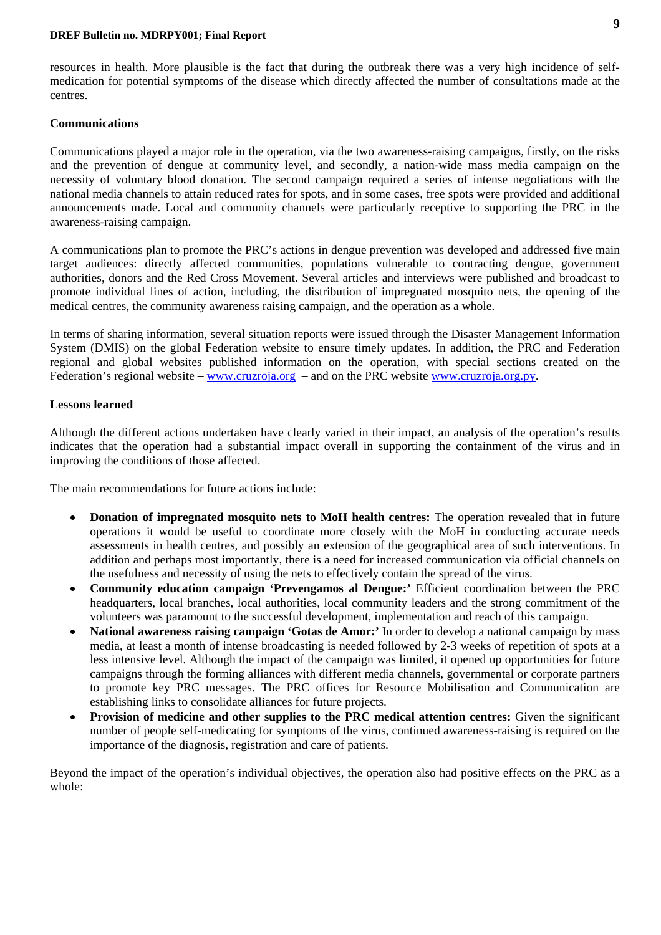resources in health. More plausible is the fact that during the outbreak there was a very high incidence of selfmedication for potential symptoms of the disease which directly affected the number of consultations made at the centres.

#### **Communications**

Communications played a major role in the operation, via the two awareness-raising campaigns, firstly, on the risks and the prevention of dengue at community level, and secondly, a nation-wide mass media campaign on the necessity of voluntary blood donation. The second campaign required a series of intense negotiations with the national media channels to attain reduced rates for spots, and in some cases, free spots were provided and additional announcements made. Local and community channels were particularly receptive to supporting the PRC in the awareness-raising campaign.

A communications plan to promote the PRC's actions in dengue prevention was developed and addressed five main target audiences: directly affected communities, populations vulnerable to contracting dengue, government authorities, donors and the Red Cross Movement. Several articles and interviews were published and broadcast to promote individual lines of action, including, the distribution of impregnated mosquito nets, the opening of the medical centres, the community awareness raising campaign, and the operation as a whole.

In terms of sharing information, several situation reports were issued through the Disaster Management Information System (DMIS) on the global Federation website to ensure timely updates. In addition, the PRC and Federation regional and global websites published information on the operation, with special sections created on the Federation's regional website [– www.cruzroja.org](www.cruzroja.org) – and on the PRC website [www.cruzroja.org.py.](www.cruzroja.org.py) 

#### **Lessons learned**

Although the different actions undertaken have clearly varied in their impact, an analysis of the operation's results indicates that the operation had a substantial impact overall in supporting the containment of the virus and in improving the conditions of those affected.

The main recommendations for future actions include:

- **Donation of impregnated mosquito nets to MoH health centres:** The operation revealed that in future operations it would be useful to coordinate more closely with the MoH in conducting accurate needs assessments in health centres, and possibly an extension of the geographical area of such interventions. In addition and perhaps most importantly, there is a need for increased communication via official channels on the usefulness and necessity of using the nets to effectively contain the spread of the virus.
- **Community education campaign 'Prevengamos al Dengue:'** Efficient coordination between the PRC headquarters, local branches, local authorities, local community leaders and the strong commitment of the volunteers was paramount to the successful development, implementation and reach of this campaign.
- **National awareness raising campaign 'Gotas de Amor:'** In order to develop a national campaign by mass media, at least a month of intense broadcasting is needed followed by 2-3 weeks of repetition of spots at a less intensive level. Although the impact of the campaign was limited, it opened up opportunities for future campaigns through the forming alliances with different media channels, governmental or corporate partners to promote key PRC messages. The PRC offices for Resource Mobilisation and Communication are establishing links to consolidate alliances for future projects.
- **Provision of medicine and other supplies to the PRC medical attention centres:** Given the significant number of people self-medicating for symptoms of the virus, continued awareness-raising is required on the importance of the diagnosis, registration and care of patients.

Beyond the impact of the operation's individual objectives, the operation also had positive effects on the PRC as a whole: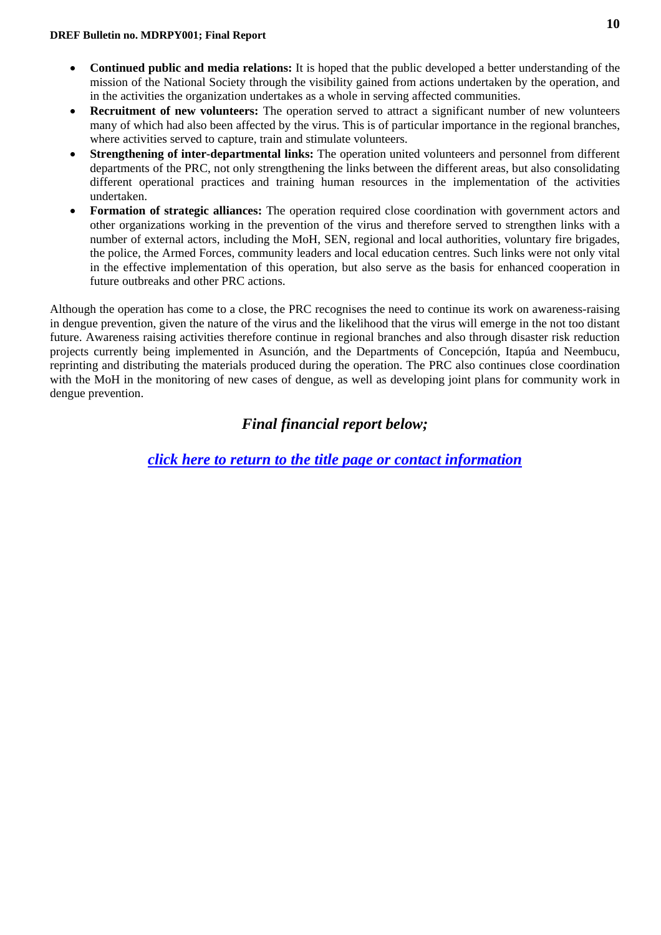- **Continued public and media relations:** It is hoped that the public developed a better understanding of the mission of the National Society through the visibility gained from actions undertaken by the operation, and in the activities the organization undertakes as a whole in serving affected communities.
- **Recruitment of new volunteers:** The operation served to attract a significant number of new volunteers many of which had also been affected by the virus. This is of particular importance in the regional branches, where activities served to capture, train and stimulate volunteers.
- **Strengthening of inter-departmental links:** The operation united volunteers and personnel from different departments of the PRC, not only strengthening the links between the different areas, but also consolidating different operational practices and training human resources in the implementation of the activities undertaken.
- **Formation of strategic alliances:** The operation required close coordination with government actors and other organizations working in the prevention of the virus and therefore served to strengthen links with a number of external actors, including the MoH, SEN, regional and local authorities, voluntary fire brigades, the police, the Armed Forces, community leaders and local education centres. Such links were not only vital in the effective implementation of this operation, but also serve as the basis for enhanced cooperation in future outbreaks and other PRC actions.

Although the operation has come to a close, the PRC recognises the need to continue its work on awareness-raising in dengue prevention, given the nature of the virus and the likelihood that the virus will emerge in the not too distant future. Awareness raising activities therefore continue in regional branches and also through disaster risk reduction projects currently being implemented in Asunción, and the Departments of Concepción, Itapúa and Neembucu, reprinting and distributing the materials produced during the operation. The PRC also continues close coordination with the MoH in the monitoring of new cases of dengue, as well as developing joint plans for community work in dengue prevention.

## *Final financial report below;*

*[click here to return to the title page or contact information](#page-0-0)*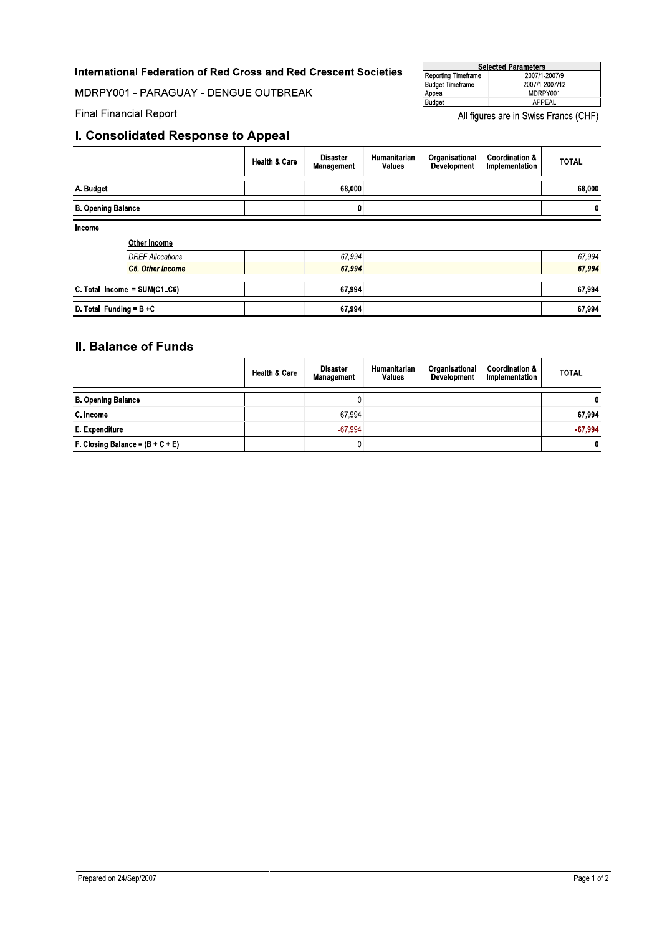### International Federation of Red Cross and Red Crescent Societies

MDRPY001 - PARAGUAY - DENGUE OUTBREAK

| <b>Selected Parameters</b> |                |  |  |  |  |
|----------------------------|----------------|--|--|--|--|
| Reporting Timeframe        | 2007/1-2007/9  |  |  |  |  |
| <b>Budget Timeframe</b>    | 2007/1-2007/12 |  |  |  |  |
| Appeal<br>Budget           | MDRPY001       |  |  |  |  |
|                            | APPEAL         |  |  |  |  |

**Final Financial Report** 

All figures are in Swiss Francs (CHF)

## I. Consolidated Response to Appeal

|                            |                                | <b>Health &amp; Care</b> | <b>Disaster</b><br>Management | Humanitarian<br><b>Values</b> | Organisational<br>Development | <b>Coordination &amp;</b><br>Implementation | <b>TOTAL</b> |
|----------------------------|--------------------------------|--------------------------|-------------------------------|-------------------------------|-------------------------------|---------------------------------------------|--------------|
| A. Budget                  |                                |                          | 68,000                        |                               |                               |                                             | 68,000       |
| <b>B. Opening Balance</b>  |                                |                          | 0                             |                               |                               |                                             | $\mathbf 0$  |
| Income                     | <b>Other Income</b>            |                          |                               |                               |                               |                                             |              |
|                            | <b>DREF Allocations</b>        |                          | 67.994                        |                               |                               |                                             | 67,994       |
|                            | <b>C6. Other Income</b>        |                          | 67.994                        |                               |                               |                                             |              |
|                            | C. Total Income = $SUM(C1.C6)$ |                          | 67,994                        |                               |                               |                                             | 67,994       |
| D. Total Funding = $B + C$ |                                |                          | 67,994                        |                               |                               |                                             | 67,994       |

## **II. Balance of Funds**

|                                    | <b>Health &amp; Care</b> | <b>Disaster</b><br><b>Management</b> | <b>Humanitarian</b><br><b>Values</b> | Organisational<br><b>Development</b> | <b>Coordination &amp;</b><br>Implementation | <b>TOTAL</b> |
|------------------------------------|--------------------------|--------------------------------------|--------------------------------------|--------------------------------------|---------------------------------------------|--------------|
| <b>B. Opening Balance</b>          |                          | ν                                    |                                      |                                      |                                             | $\mathbf{0}$ |
| C. Income                          |                          | 67,994                               |                                      |                                      |                                             | 67.994       |
| E. Expenditure                     |                          | $-67.994$                            |                                      |                                      |                                             | $-67.994$    |
| F. Closing Balance = $(B + C + E)$ |                          | υ                                    |                                      |                                      |                                             | 0            |